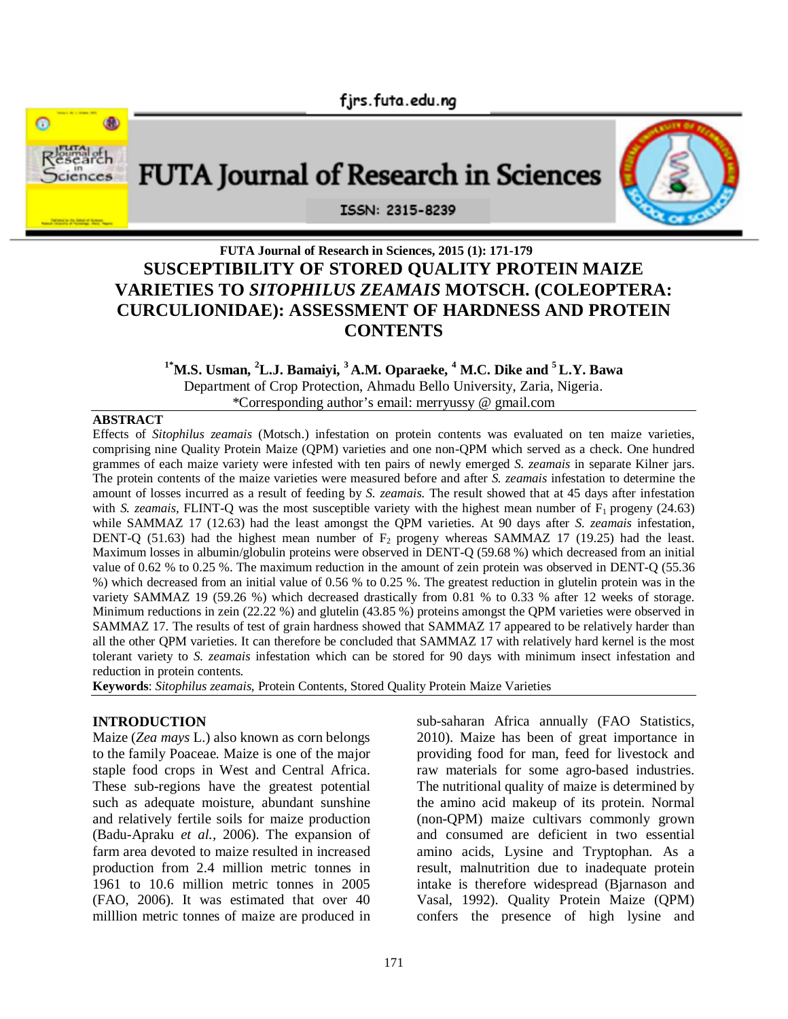

# **FUTA Journal of Research in Sciences, 2015 (1): 171-179 SUSCEPTIBILITY OF STORED QUALITY PROTEIN MAIZE VARIETIES TO** *SITOPHILUS ZEAMAIS* **MOTSCH. (COLEOPTERA: CURCULIONIDAE): ASSESSMENT OF HARDNESS AND PROTEIN CONTENTS**

# **1\*M.S. Usman, <sup>2</sup>L.J. Bamaiyi, <sup>3</sup> A.M. Oparaeke, <sup>4</sup> M.C. Dike and <sup>5</sup>L.Y. Bawa** Department of Crop Protection, Ahmadu Bello University, Zaria, Nigeria.

\*Corresponding author's email: merryussy @ gmail.com

#### **ABSTRACT**

Effects of *Sitophilus zeamais* (Motsch.) infestation on protein contents was evaluated on ten maize varieties, comprising nine Quality Protein Maize (QPM) varieties and one non-QPM which served as a check. One hundred grammes of each maize variety were infested with ten pairs of newly emerged *S. zeamais* in separate Kilner jars. The protein contents of the maize varieties were measured before and after *S. zeamais* infestation to determine the amount of losses incurred as a result of feeding by *S. zeamais.* The result showed that at 45 days after infestation with *S. zeamais*, FLINT-Q was the most susceptible variety with the highest mean number of F<sub>1</sub> progeny (24.63) while SAMMAZ 17 (12.63) had the least amongst the QPM varieties. At 90 days after *S. zeamais* infestation, DENT-Q (51.63) had the highest mean number of  $F_2$  progeny whereas SAMMAZ 17 (19.25) had the least. Maximum losses in albumin/globulin proteins were observed in DENT-Q (59.68 %) which decreased from an initial value of 0.62 % to 0.25 %. The maximum reduction in the amount of zein protein was observed in DENT-Q (55.36 %) which decreased from an initial value of 0.56 % to 0.25 %. The greatest reduction in glutelin protein was in the variety SAMMAZ 19 (59.26 %) which decreased drastically from 0.81 % to 0.33 % after 12 weeks of storage. Minimum reductions in zein (22.22 %) and glutelin (43.85 %) proteins amongst the QPM varieties were observed in SAMMAZ 17. The results of test of grain hardness showed that SAMMAZ 17 appeared to be relatively harder than all the other QPM varieties. It can therefore be concluded that SAMMAZ 17 with relatively hard kernel is the most tolerant variety to *S. zeamais* infestation which can be stored for 90 days with minimum insect infestation and reduction in protein contents.

**Keywords**: *Sitophilus zeamais,* Protein Contents, Stored Quality Protein Maize Varieties

### **INTRODUCTION**

Maize (*Zea mays* L.) also known as corn belongs to the family Poaceae. Maize is one of the major staple food crops in West and Central Africa. These sub-regions have the greatest potential such as adequate moisture, abundant sunshine and relatively fertile soils for maize production (Badu-Apraku *et al.,* 2006). The expansion of farm area devoted to maize resulted in increased production from 2.4 million metric tonnes in 1961 to 10.6 million metric tonnes in 2005 (FAO, 2006). It was estimated that over 40 milllion metric tonnes of maize are produced in sub-saharan Africa annually (FAO Statistics, 2010). Maize has been of great importance in providing food for man, feed for livestock and raw materials for some agro-based industries. The nutritional quality of maize is determined by the amino acid makeup of its protein. Normal (non-QPM) maize cultivars commonly grown and consumed are deficient in two essential amino acids, Lysine and Tryptophan. As a result, malnutrition due to inadequate protein intake is therefore widespread (Bjarnason and Vasal, 1992). Quality Protein Maize (QPM) confers the presence of high lysine and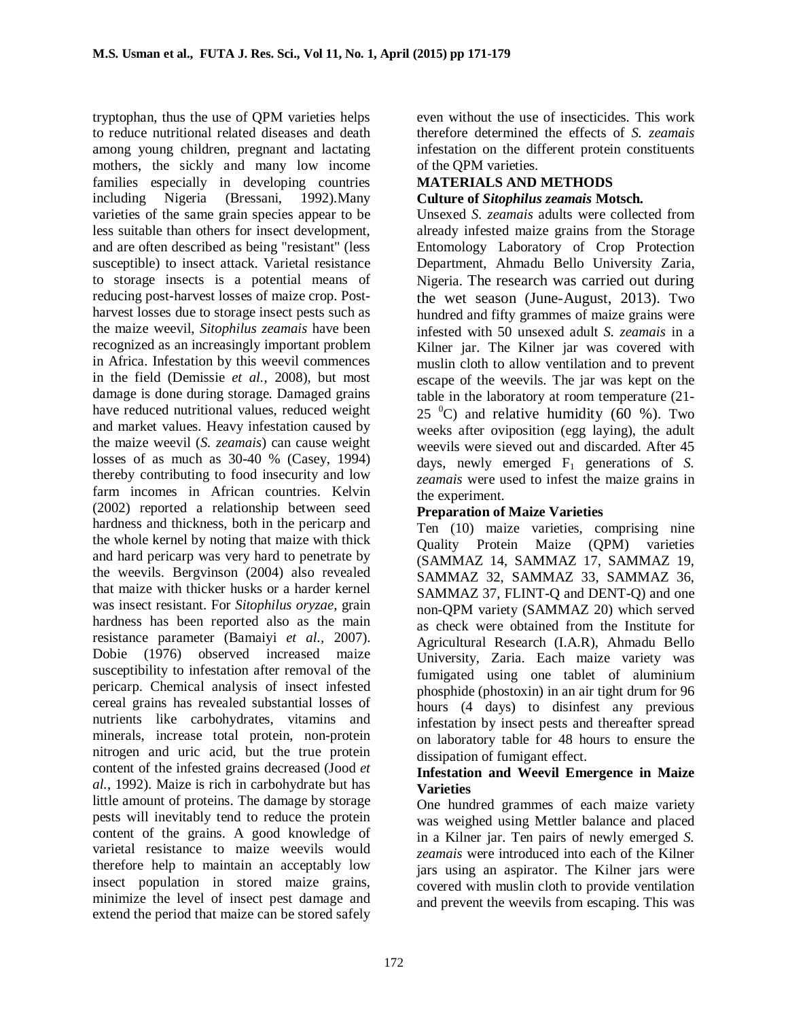tryptophan, thus the use of QPM varieties helps to reduce nutritional related diseases and death among young children, pregnant and lactating mothers, the sickly and many low income families especially in developing countries including Nigeria (Bressani, 1992).Many varieties of the same grain species appear to be less suitable than others for insect development, and are often described as being "resistant" (less susceptible) to insect attack. Varietal resistance to storage insects is a potential means of reducing post-harvest losses of maize crop. Postharvest losses due to storage insect pests such as the maize weevil, *Sitophilus zeamais* have been recognized as an increasingly important problem in Africa. Infestation by this weevil commences in the field (Demissie *et al.,* 2008), but most damage is done during storage. Damaged grains have reduced nutritional values, reduced weight and market values. Heavy infestation caused by the maize weevil (*S. zeamais*) can cause weight losses of as much as 30-40 % (Casey, 1994) thereby contributing to food insecurity and low farm incomes in African countries. Kelvin (2002) reported a relationship between seed hardness and thickness, both in the pericarp and the whole kernel by noting that maize with thick and hard pericarp was very hard to penetrate by the weevils. Bergvinson (2004) also revealed that maize with thicker husks or a harder kernel was insect resistant. For *Sitophilus oryzae,* grain hardness has been reported also as the main resistance parameter (Bamaiyi *et al.,* 2007). Dobie (1976) observed increased maize susceptibility to infestation after removal of the pericarp. Chemical analysis of insect infested cereal grains has revealed substantial losses of nutrients like carbohydrates, vitamins and minerals, increase total protein, non-protein nitrogen and uric acid, but the true protein content of the infested grains decreased (Jood *et al.*, 1992). Maize is rich in carbohydrate but has little amount of proteins. The damage by storage pests will inevitably tend to reduce the protein content of the grains. A good knowledge of varietal resistance to maize weevils would therefore help to maintain an acceptably low insect population in stored maize grains, minimize the level of insect pest damage and extend the period that maize can be stored safely

even without the use of insecticides. This work therefore determined the effects of *S. zeamais*  infestation on the different protein constituents of the QPM varieties.

### **MATERIALS AND METHODS Culture of** *Sitophilus zeamais* **Motsch.**

Unsexed *S. zeamais* adults were collected from already infested maize grains from the Storage Entomology Laboratory of Crop Protection Department, Ahmadu Bello University Zaria, Nigeria. The research was carried out during the wet season (June-August, 2013). Two hundred and fifty grammes of maize grains were infested with 50 unsexed adult *S. zeamais* in a Kilner jar. The Kilner jar was covered with muslin cloth to allow ventilation and to prevent escape of the weevils. The jar was kept on the table in the laboratory at room temperature (21- 25  $^{\circ}$ C) and relative humidity (60 %). Two weeks after oviposition (egg laying), the adult weevils were sieved out and discarded. After 45 days, newly emerged F1 generations of *S. zeamais* were used to infest the maize grains in the experiment.

# **Preparation of Maize Varieties**

Ten (10) maize varieties, comprising nine Quality Protein Maize (QPM) varieties (SAMMAZ 14, SAMMAZ 17, SAMMAZ 19, SAMMAZ 32, SAMMAZ 33, SAMMAZ 36, SAMMAZ 37, FLINT-Q and DENT-Q) and one non-QPM variety (SAMMAZ 20) which served as check were obtained from the Institute for Agricultural Research (I.A.R), Ahmadu Bello University, Zaria. Each maize variety was fumigated using one tablet of aluminium phosphide (phostoxin) in an air tight drum for 96 hours (4 days) to disinfest any previous infestation by insect pests and thereafter spread on laboratory table for 48 hours to ensure the dissipation of fumigant effect.

### **Infestation and Weevil Emergence in Maize Varieties**

One hundred grammes of each maize variety was weighed using Mettler balance and placed in a Kilner jar. Ten pairs of newly emerged *S. zeamais* were introduced into each of the Kilner jars using an aspirator. The Kilner jars were covered with muslin cloth to provide ventilation and prevent the weevils from escaping. This was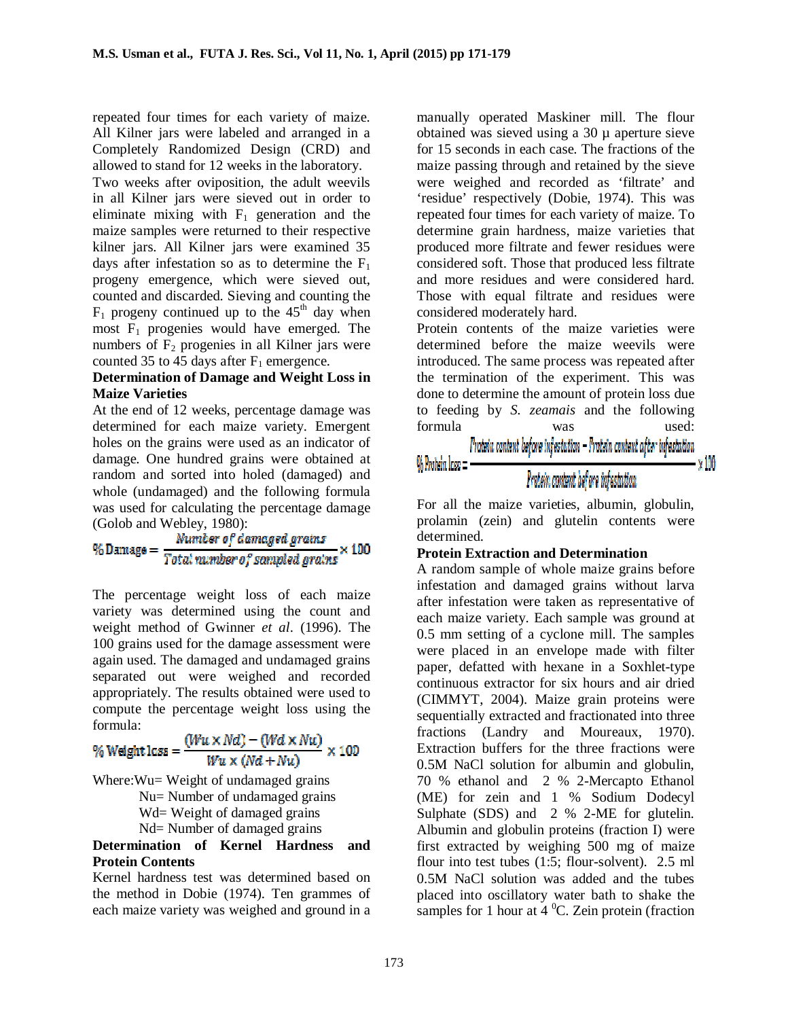repeated four times for each variety of maize. All Kilner jars were labeled and arranged in a Completely Randomized Design (CRD) and allowed to stand for 12 weeks in the laboratory.

Two weeks after oviposition, the adult weevils in all Kilner jars were sieved out in order to eliminate mixing with  $F_1$  generation and the maize samples were returned to their respective kilner jars. All Kilner jars were examined 35 days after infestation so as to determine the  $F_1$ progeny emergence, which were sieved out, counted and discarded. Sieving and counting the  $F_1$  progeny continued up to the 45<sup>th</sup> day when most  $F_1$  progenies would have emerged. The numbers of  $F_2$  progenies in all Kilner jars were counted 35 to 45 days after  $F_1$  emergence.

### **Determination of Damage and Weight Loss in Maize Varieties**

At the end of 12 weeks, percentage damage was determined for each maize variety. Emergent holes on the grains were used as an indicator of damage. One hundred grains were obtained at random and sorted into holed (damaged) and whole (undamaged) and the following formula was used for calculating the percentage damage

(Golob and Webley, 1980):<br>%Damage =  $\frac{Number\ of\ damaged\ grains}{Total\ number\ of\ sampled\ grains} \times 100$ 

The percentage weight loss of each maize variety was determined using the count and weight method of Gwinner *et al*. (1996). The 100 grains used for the damage assessment were again used. The damaged and undamaged grains separated out were weighed and recorded appropriately. The results obtained were used to compute the percentage weight loss using the formula:

$$
\% Weight loss = \frac{(Wu \times Nd) - (Wd \times Nu)}{Wu \times (Nd + Nu)} \times 100
$$

Where: Wu = Weight of undamaged grains Nu= Number of undamaged grains Wd= Weight of damaged grains Nd= Number of damaged grains

### **Determination of Kernel Hardness and Protein Contents**

Kernel hardness test was determined based on the method in Dobie (1974). Ten grammes of each maize variety was weighed and ground in a manually operated Maskiner mill. The flour obtained was sieved using a  $30 \mu$  aperture sieve for 15 seconds in each case. The fractions of the maize passing through and retained by the sieve were weighed and recorded as 'filtrate' and 'residue' respectively (Dobie, 1974). This was repeated four times for each variety of maize. To determine grain hardness, maize varieties that produced more filtrate and fewer residues were considered soft. Those that produced less filtrate and more residues and were considered hard. Those with equal filtrate and residues were considered moderately hard.

Protein contents of the maize varieties were determined before the maize weevils were introduced. The same process was repeated after the termination of the experiment. This was done to determine the amount of protein loss due to feeding by *S. zeamais* and the following formula was used:  $P$ robeix content before infestation  $-P$ robein content after infestation

# Protein content before infectation

N 100

For all the maize varieties, albumin, globulin, prolamin (zein) and glutelin contents were determined.

### **Protein Extraction and Determination**

 $\%$  Protein  $\log$   $\equiv$   $\cdot$ 

A random sample of whole maize grains before infestation and damaged grains without larva after infestation were taken as representative of each maize variety. Each sample was ground at 0.5 mm setting of a cyclone mill. The samples were placed in an envelope made with filter paper, defatted with hexane in a Soxhlet-type continuous extractor for six hours and air dried (CIMMYT, 2004). Maize grain proteins were sequentially extracted and fractionated into three fractions (Landry and Moureaux, 1970). Extraction buffers for the three fractions were 0.5M NaCl solution for albumin and globulin, 70 % ethanol and 2 % 2-Mercapto Ethanol (ME) for zein and 1 % Sodium Dodecyl Sulphate (SDS) and 2 % 2-ME for glutelin. Albumin and globulin proteins (fraction I) were first extracted by weighing 500 mg of maize flour into test tubes (1:5; flour-solvent). 2.5 ml 0.5M NaCl solution was added and the tubes placed into oscillatory water bath to shake the samples for 1 hour at  $4^{\circ}$ C. Zein protein (fraction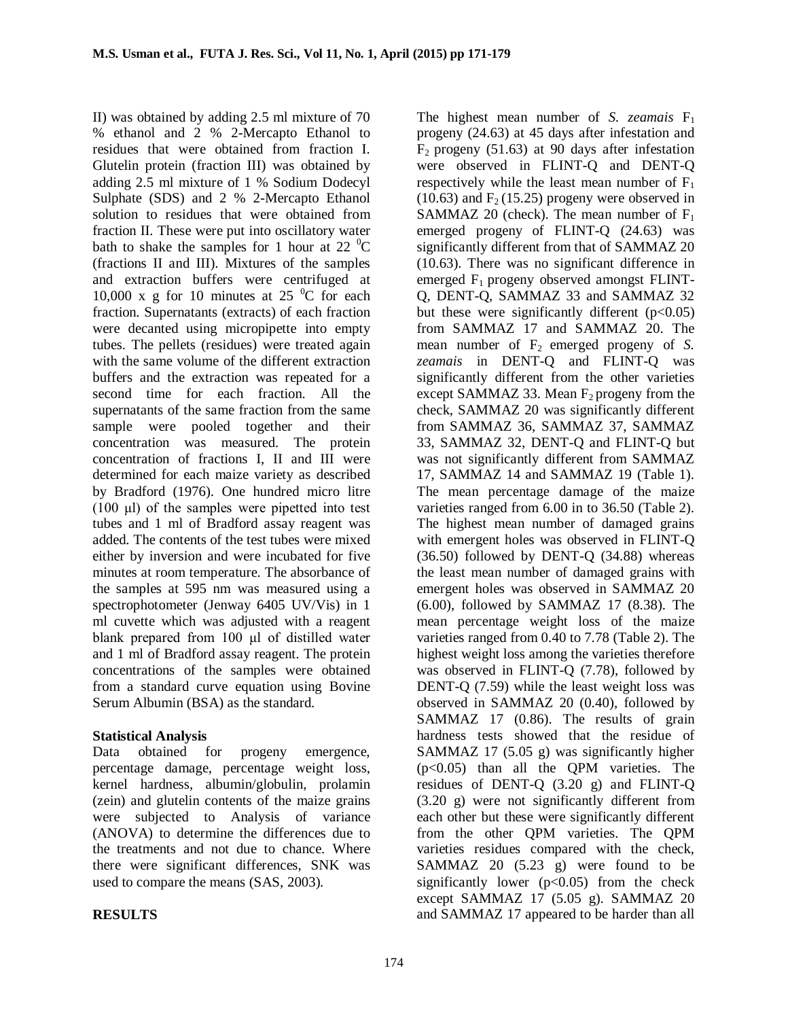II) was obtained by adding 2.5 ml mixture of 70 % ethanol and 2 % 2-Mercapto Ethanol to residues that were obtained from fraction I. Glutelin protein (fraction III) was obtained by adding 2.5 ml mixture of 1 % Sodium Dodecyl Sulphate (SDS) and 2 % 2-Mercapto Ethanol solution to residues that were obtained from fraction II. These were put into oscillatory water bath to shake the samples for 1 hour at 22  $^{\circ}$ C (fractions II and III). Mixtures of the samples and extraction buffers were centrifuged at 10,000 x g for 10 minutes at 25  $\mathrm{^0C}$  for each fraction. Supernatants (extracts) of each fraction were decanted using micropipette into empty tubes. The pellets (residues) were treated again with the same volume of the different extraction buffers and the extraction was repeated for a second time for each fraction. All the supernatants of the same fraction from the same sample were pooled together and their concentration was measured. The protein concentration of fractions I, II and III were determined for each maize variety as described by Bradford (1976). One hundred micro litre (100 μl) of the samples were pipetted into test tubes and 1 ml of Bradford assay reagent was added. The contents of the test tubes were mixed either by inversion and were incubated for five minutes at room temperature. The absorbance of the samples at 595 nm was measured using a spectrophotometer (Jenway 6405 UV/Vis) in 1 ml cuvette which was adjusted with a reagent blank prepared from 100 μl of distilled water and 1 ml of Bradford assay reagent. The protein concentrations of the samples were obtained from a standard curve equation using Bovine Serum Albumin (BSA) as the standard.

## **Statistical Analysis**

Data obtained for progeny emergence, percentage damage, percentage weight loss, kernel hardness, albumin/globulin, prolamin (zein) and glutelin contents of the maize grains were subjected to Analysis of variance (ANOVA) to determine the differences due to the treatments and not due to chance. Where there were significant differences, SNK was used to compare the means (SAS, 2003).

## **RESULTS**

The highest mean number of *S. zeamais*  $F_1$ progeny (24.63) at 45 days after infestation and  $F_2$  progeny (51.63) at 90 days after infestation were observed in FLINT-Q and DENT-Q respectively while the least mean number of  $F_1$  $(10.63)$  and  $F<sub>2</sub>(15.25)$  progeny were observed in SAMMAZ 20 (check). The mean number of  $F_1$ emerged progeny of FLINT-Q (24.63) was significantly different from that of SAMMAZ 20 (10.63). There was no significant difference in emerged  $F_1$  progeny observed amongst FLINT-Q, DENT-Q, SAMMAZ 33 and SAMMAZ 32 but these were significantly different  $(p<0.05)$ from SAMMAZ 17 and SAMMAZ 20. The mean number of  $F_2$  emerged progeny of *S*. *zeamais* in DENT-Q and FLINT-Q was significantly different from the other varieties except SAMMAZ 33. Mean  $F_2$  progeny from the check, SAMMAZ 20 was significantly different from SAMMAZ 36, SAMMAZ 37, SAMMAZ 33, SAMMAZ 32, DENT-Q and FLINT-Q but was not significantly different from SAMMAZ 17, SAMMAZ 14 and SAMMAZ 19 (Table 1). The mean percentage damage of the maize varieties ranged from 6.00 in to 36.50 (Table 2). The highest mean number of damaged grains with emergent holes was observed in FLINT-O (36.50) followed by DENT-Q (34.88) whereas the least mean number of damaged grains with emergent holes was observed in SAMMAZ 20 (6.00), followed by SAMMAZ 17 (8.38). The mean percentage weight loss of the maize varieties ranged from 0.40 to 7.78 (Table 2). The highest weight loss among the varieties therefore was observed in FLINT-Q (7.78), followed by DENT-Q (7.59) while the least weight loss was observed in SAMMAZ 20 (0.40), followed by SAMMAZ 17 (0.86). The results of grain hardness tests showed that the residue of SAMMAZ 17 (5.05 g) was significantly higher (p<0.05) than all the QPM varieties. The residues of DENT-Q (3.20 g) and FLINT-Q (3.20 g) were not significantly different from each other but these were significantly different from the other QPM varieties. The QPM varieties residues compared with the check, SAMMAZ 20  $(5.23 \text{ g})$  were found to be significantly lower  $(p<0.05)$  from the check except SAMMAZ 17 (5.05 g). SAMMAZ 20 and SAMMAZ 17 appeared to be harder than all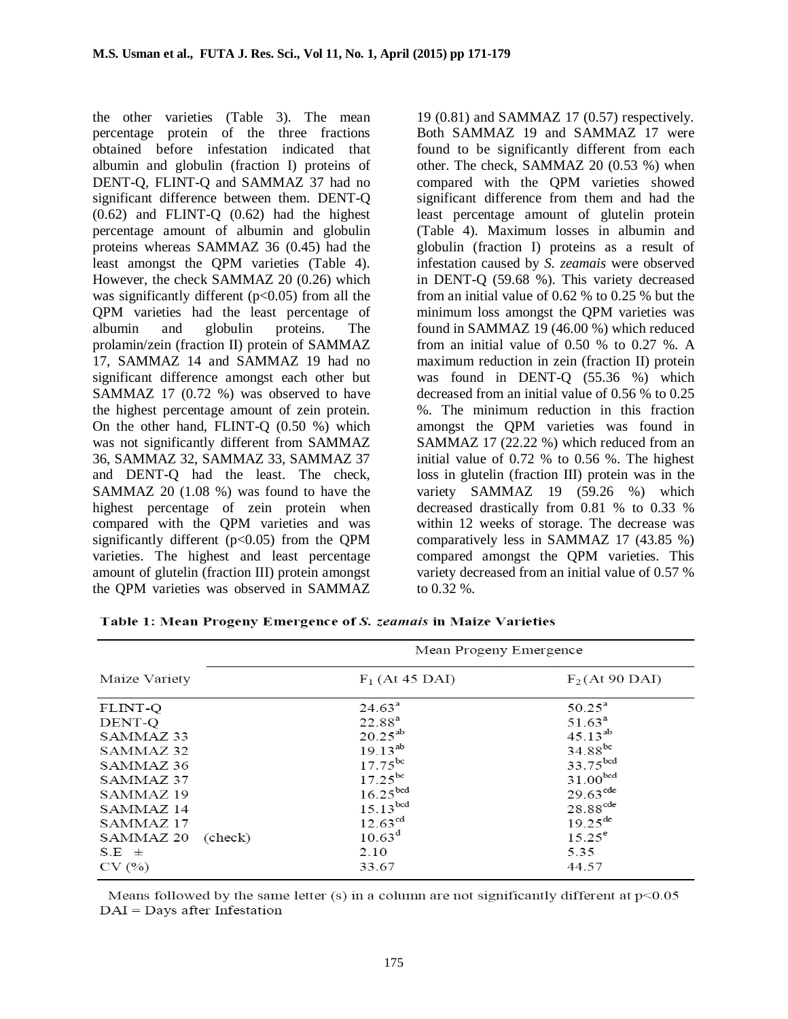the other varieties (Table 3). The mean percentage protein of the three fractions obtained before infestation indicated that albumin and globulin (fraction I) proteins of DENT-Q, FLINT-Q and SAMMAZ 37 had no significant difference between them. DENT-Q (0.62) and FLINT-Q (0.62) had the highest percentage amount of albumin and globulin proteins whereas SAMMAZ 36 (0.45) had the least amongst the QPM varieties (Table 4). However, the check SAMMAZ 20 (0.26) which was significantly different  $(p<0.05)$  from all the QPM varieties had the least percentage of albumin and globulin proteins. The prolamin/zein (fraction II) protein of SAMMAZ 17, SAMMAZ 14 and SAMMAZ 19 had no significant difference amongst each other but SAMMAZ 17 (0.72 %) was observed to have the highest percentage amount of zein protein. On the other hand, FLINT-Q (0.50 %) which was not significantly different from SAMMAZ 36, SAMMAZ 32, SAMMAZ 33, SAMMAZ 37 and DENT-Q had the least. The check, SAMMAZ 20 (1.08 %) was found to have the highest percentage of zein protein when compared with the QPM varieties and was significantly different ( $p<0.05$ ) from the OPM varieties. The highest and least percentage amount of glutelin (fraction III) protein amongst the QPM varieties was observed in SAMMAZ

19 (0.81) and SAMMAZ 17 (0.57) respectively. Both SAMMAZ 19 and SAMMAZ 17 were found to be significantly different from each other. The check, SAMMAZ 20 (0.53 %) when compared with the QPM varieties showed significant difference from them and had the least percentage amount of glutelin protein (Table 4). Maximum losses in albumin and globulin (fraction I) proteins as a result of infestation caused by *S. zeamais* were observed in DENT-Q (59.68 %). This variety decreased from an initial value of 0.62 % to 0.25 % but the minimum loss amongst the QPM varieties was found in SAMMAZ 19 (46.00 %) which reduced from an initial value of 0.50 % to 0.27 %. A maximum reduction in zein (fraction II) protein was found in DENT-Q (55.36 %) which decreased from an initial value of 0.56 % to 0.25 %. The minimum reduction in this fraction amongst the QPM varieties was found in SAMMAZ 17 (22.22 %) which reduced from an initial value of 0.72 % to 0.56 %. The highest loss in glutelin (fraction III) protein was in the variety SAMMAZ 19 (59.26 %) which decreased drastically from 0.81 % to 0.33 % within 12 weeks of storage. The decrease was comparatively less in SAMMAZ 17 (43.85 %) compared amongst the QPM varieties. This variety decreased from an initial value of 0.57 % to 0.32 %.

|                      | Mean Progeny Emergence |                        |  |
|----------------------|------------------------|------------------------|--|
| Maize Variety        | $F_1$ (At 45 DAI)      | $F_2$ (At 90 DAI)      |  |
| FLINT-O              | $24.63^a$              | $50.25^{\circ}$        |  |
| <b>DENT-O</b>        | 22.88 <sup>a</sup>     | 51.63 <sup>a</sup>     |  |
| SAMMAZ 33            | $20.25^{ab}$           | $45.13^{ab}$           |  |
| SAMMAZ <sub>32</sub> | $19.13^{ab}$           | $34.88^{bc}$           |  |
| SAMMAZ 36            | $17.75^{bc}$           | 33.75 <sup>bcd</sup>   |  |
| SAMMAZ 37            | $17.25^{bc}$           | 31.00 <sup>bcd</sup>   |  |
| SAMMAZ <sub>19</sub> | 16.25 <sup>bcd</sup>   | $29.63$ <sup>cde</sup> |  |
| SAMMAZ 14            | 15.13 <sup>bcd</sup>   | $28.88$ <sup>cde</sup> |  |
| SAMMAZ <sub>17</sub> | $12.63^{cd}$           | $19.25^{de}$           |  |
| SAMMAZ 20<br>(check) | $10.63^d$              | $15.25^{\circ}$        |  |
| $S.E \pm$            | 2.10                   | 5.35                   |  |
| CV(%)                | 33.67                  | 44.57                  |  |

Table 1: Mean Progeny Emergence of S. *zeamais* in Maize Varieties

Means followed by the same letter  $(s)$  in a column are not significantly different at  $p<0.05$  $DAI =$  Days after Infestation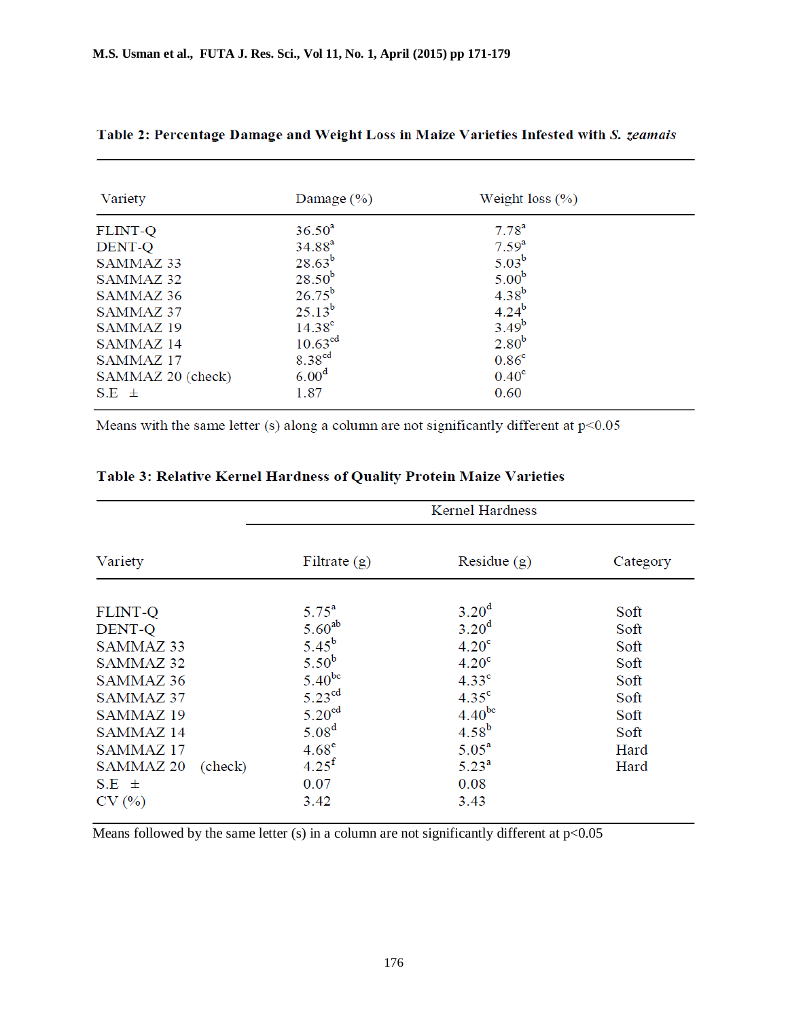| Variety              | Damage $(\% )$      | Weight loss $(\% )$ |  |
|----------------------|---------------------|---------------------|--|
| <b>FLINT-Q</b>       | $36.50^{a}$         | $7.78^{a}$          |  |
| DENT-Q               | $34.88^{a}$         | $7.59^{a}$          |  |
| SAMMAZ <sub>33</sub> | $28.63^{b}$         | $5.03^{b}$          |  |
| SAMMAZ 32            | $28.50^{b}$         | 5.00 <sup>b</sup>   |  |
| SAMMAZ 36            | $26.75^{b}$         | $4.38^{b}$          |  |
| SAMMAZ 37            | $25.13^{b}$         | $4.24^{b}$          |  |
| SAMMAZ <sub>19</sub> | $14.38^{\circ}$     | $3.49^{b}$          |  |
| SAMMAZ <sub>14</sub> | 10.63 <sup>cd</sup> | 2.80 <sup>b</sup>   |  |
| SAMMAZ <sub>17</sub> | 8.38 <sup>cd</sup>  | 0.86 <sup>c</sup>   |  |
| SAMMAZ 20 (check)    | 6.00 <sup>d</sup>   | $0.40^{\circ}$      |  |
| $S.E \pm$            | 1.87                | 0.60                |  |

### Table 2: Percentage Damage and Weight Loss in Maize Varieties Infested with S. zeamais

Means with the same letter (s) along a column are not significantly different at  $p<0.05$ 

|                                                                                                                                                                          | <b>Kernel Hardness</b>                                                                                                                                                            |                                                                                                                                                                                   |                                                                              |  |
|--------------------------------------------------------------------------------------------------------------------------------------------------------------------------|-----------------------------------------------------------------------------------------------------------------------------------------------------------------------------------|-----------------------------------------------------------------------------------------------------------------------------------------------------------------------------------|------------------------------------------------------------------------------|--|
| Variety                                                                                                                                                                  | Filtrate $(g)$                                                                                                                                                                    | Residue $(g)$                                                                                                                                                                     | Category                                                                     |  |
| <b>FLINT-Q</b><br>DENT-Q<br>SAMMAZ 33<br>SAMMAZ 32<br>SAMMAZ 36<br>SAMMAZ 37<br>SAMMAZ <sub>19</sub><br>SAMMAZ 14<br>SAMMAZ <sub>17</sub><br><b>SAMMAZ 20</b><br>(check) | $5.75^{\rm a}$<br>$5.60^{ab}$<br>$5.45^{b}$<br>5.50 <sup>b</sup><br>$5.40^{bc}$<br>5.23 <sup>cd</sup><br>5.20 <sup>cd</sup><br>5.08 <sup>d</sup><br>$4.68^e$<br>4.25 <sup>f</sup> | 3.20 <sup>d</sup><br>3.20 <sup>d</sup><br>4.20 <sup>c</sup><br>4.20 <sup>c</sup><br>4.33 <sup>c</sup><br>4.35 <sup>c</sup><br>$4.40^{bc}$<br>$4.58^{b}$<br>$5.05^a$<br>$5.23^{a}$ | Soft<br>Soft<br>Soft<br>Soft<br>Soft<br>Soft<br>Soft<br>Soft<br>Hard<br>Hard |  |
| $S.E \pm$<br>CV(%)                                                                                                                                                       | 0.07<br>3.42                                                                                                                                                                      | 0.08<br>3.43                                                                                                                                                                      |                                                                              |  |

# Table 3: Relative Kernel Hardness of Quality Protein Maize Varieties

Means followed by the same letter (s) in a column are not significantly different at  $p<0.05$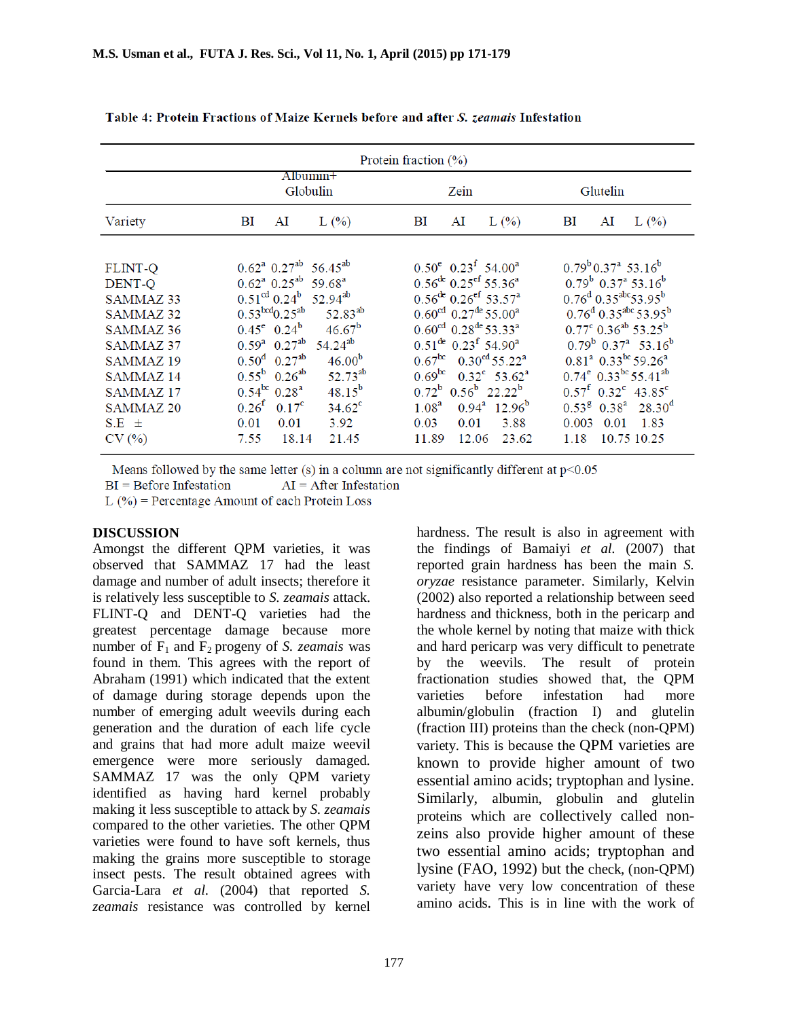| Protein fraction $(\% )$                                                                                                                                                                                                              |                                                                                                                                                                                                                                                                                                                                                                                                                                                                                                                                              |                                                                                                                                                                                                                                                                                                                                                                                                                                                                                                                                                               |                                                                                                                                                                                                                                                                                                                                                                                                                                                                                                                                  |  |  |
|---------------------------------------------------------------------------------------------------------------------------------------------------------------------------------------------------------------------------------------|----------------------------------------------------------------------------------------------------------------------------------------------------------------------------------------------------------------------------------------------------------------------------------------------------------------------------------------------------------------------------------------------------------------------------------------------------------------------------------------------------------------------------------------------|---------------------------------------------------------------------------------------------------------------------------------------------------------------------------------------------------------------------------------------------------------------------------------------------------------------------------------------------------------------------------------------------------------------------------------------------------------------------------------------------------------------------------------------------------------------|----------------------------------------------------------------------------------------------------------------------------------------------------------------------------------------------------------------------------------------------------------------------------------------------------------------------------------------------------------------------------------------------------------------------------------------------------------------------------------------------------------------------------------|--|--|
|                                                                                                                                                                                                                                       | $Albumm1+$<br>Globulin                                                                                                                                                                                                                                                                                                                                                                                                                                                                                                                       | Zein                                                                                                                                                                                                                                                                                                                                                                                                                                                                                                                                                          | Glutelin                                                                                                                                                                                                                                                                                                                                                                                                                                                                                                                         |  |  |
| Variety                                                                                                                                                                                                                               | ΒI<br>AI<br>$L(\%)$                                                                                                                                                                                                                                                                                                                                                                                                                                                                                                                          | $L(\%)$<br>BI<br>AI                                                                                                                                                                                                                                                                                                                                                                                                                                                                                                                                           | BI<br>AI<br>$L(\%)$                                                                                                                                                                                                                                                                                                                                                                                                                                                                                                              |  |  |
| <b>FLINT-Q</b><br>DENT-Q<br>SAMMAZ <sub>33</sub><br><b>SAMMAZ 32</b><br>SAMMAZ <sub>36</sub><br>SAMMAZ <sub>37</sub><br>SAMMAZ <sub>19</sub><br><b>SAMMAZ14</b><br>SAMMAZ <sub>17</sub><br>SAMMAZ <sub>20</sub><br>$S.E \pm$<br>CV(%) | $0.62^a$ $0.27^{ab}$ 56.45 <sup>ab</sup><br>$0.62^a$ $0.25^{ab}$ 59.68 <sup>a</sup><br>$0.51^{\text{cd}} 0.24^{\text{b}} 52.94^{\text{ab}}$<br>0.53 <sup>bcd</sup> 0.25 <sup>ab</sup><br>$52.83^{ab}$<br>$0.45^e$ $0.24^b$<br>$46.67^{b}$<br>$0.59^a$ $0.27^{ab}$ 54.24 <sup>ab</sup><br>$0.50^{\rm d}$ 0.27 <sup>ab</sup><br>$46.00^{b}$<br>$52.73^{ab}$<br>$0.55^{\rm b}$ 0.26 <sup>ab</sup><br>$0.54^{bc}$ 0.28 <sup>a</sup><br>$48.15^{b}$<br>$0.26^{f}$ $0.17^{c}$<br>$34.62^{\circ}$<br>3.92<br>0.01<br>0.01<br>18.14<br>7.55<br>21.45 | $0.50^e$ $0.23^f$ 54.00 <sup>a</sup><br>$0.56^{de}$ $0.25^{ef}$ 55.36 <sup>a</sup><br>$0.56^{de}$ $0.26^{ef}$ 53.57 <sup>a</sup><br>$0.60^{\text{cd}}$ 0.27 <sup>de</sup> 55.00 <sup>a</sup><br>$0.60^{\text{cd}}$ 0.28 <sup>de</sup> 53.33 <sup>a</sup><br>$0.51^{de}$ 0.23 <sup>f</sup> 54.90 <sup>a</sup><br>$0.67^{bc}$ 0.30 <sup>cd</sup> 55.22 <sup>a</sup><br>$0.69^{bc}$ $0.32^{c}$ 53.62 <sup>a</sup><br>$0.72^b$ $0.56^b$ 22.22 <sup>b</sup><br>$0.94^a$ 12.96 <sup>b</sup><br>1.08 <sup>a</sup><br>3.88<br>0.03<br>0.01<br>11.89<br>23.62<br>12.06 | $0.79^{b}$ $0.37^{a}$ 53.16 <sup>b</sup><br>$0.79^b$ $0.37^a$ 53.16 <sup>b</sup><br>$0.76^{d}$ 0.35 <sup>abc</sup> 53.95 <sup>b</sup><br>$0.76^{d}$ 0.35 <sup>abc</sup> 53.95 <sup>b</sup><br>$0.77^{\circ}$ 0.36 <sup>ab</sup> 53.25 <sup>b</sup><br>$0.79^b$ $0.37^a$ 53.16 <sup>b</sup><br>$0.81^a$ $0.33^{bc}$ 59.26 <sup>a</sup><br>$0.74^e$ $0.33^{bc}$ 55.41 <sup>ab</sup><br>$0.57^{\text{f}}$ $0.32^{\text{c}}$ 43.85 <sup>c</sup><br>$0.53^{8}$ $0.38^{a}$ $28.30^{d}$<br>1.83<br>0.003<br>0.01<br>1.18<br>10.75 10.25 |  |  |

Table 4: Protein Fractions of Maize Kernels before and after S. *zeamais* Infestation

Means followed by the same letter (s) in a column are not significantly different at  $p<0.05$ 

 $BI = Before Infestation$  $AI = After Infestation$ 

 $L(\%)$  = Percentage Amount of each Protein Loss

### **DISCUSSION**

Amongst the different QPM varieties, it was observed that SAMMAZ 17 had the least damage and number of adult insects; therefore it is relatively less susceptible to *S. zeamais* attack. FLINT-Q and DENT-Q varieties had the greatest percentage damage because more number of  $F_1$  and  $F_2$  progeny of *S. zeamais* was found in them. This agrees with the report of Abraham (1991) which indicated that the extent of damage during storage depends upon the number of emerging adult weevils during each generation and the duration of each life cycle and grains that had more adult maize weevil emergence were more seriously damaged. SAMMAZ 17 was the only QPM variety identified as having hard kernel probably making it less susceptible to attack by *S. zeamais*  compared to the other varieties*.* The other QPM varieties were found to have soft kernels, thus making the grains more susceptible to storage insect pests. The result obtained agrees with Garcia-Lara *et al*. (2004) that reported *S. zeamais* resistance was controlled by kernel

hardness. The result is also in agreement with the findings of Bamaiyi *et al.* (2007) that reported grain hardness has been the main *S. oryzae* resistance parameter. Similarly, Kelvin (2002) also reported a relationship between seed hardness and thickness, both in the pericarp and the whole kernel by noting that maize with thick and hard pericarp was very difficult to penetrate by the weevils. The result of protein fractionation studies showed that, the QPM varieties before infestation had more albumin/globulin (fraction I) and glutelin (fraction III) proteins than the check (non-QPM) variety. This is because the QPM varieties are known to provide higher amount of two essential amino acids; tryptophan and lysine. Similarly, albumin, globulin and glutelin proteins which are collectively called nonzeins also provide higher amount of these two essential amino acids; tryptophan and lysine (FAO, 1992) but the check, (non-QPM) variety have very low concentration of these amino acids. This is in line with the work of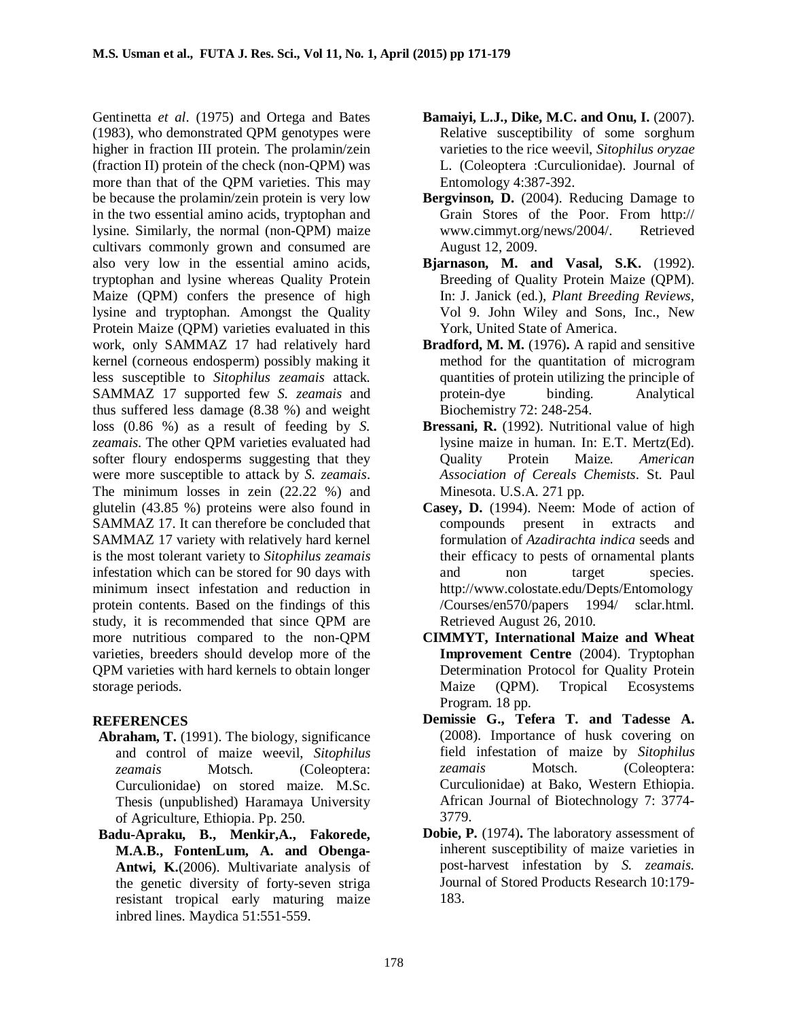Gentinetta *et al*. (1975) and Ortega and Bates (1983), who demonstrated QPM genotypes were higher in fraction III protein. The prolamin/zein (fraction II) protein of the check (non-QPM) was more than that of the QPM varieties. This may be because the prolamin/zein protein is very low in the two essential amino acids, tryptophan and lysine. Similarly, the normal (non-QPM) maize cultivars commonly grown and consumed are also very low in the essential amino acids, tryptophan and lysine whereas Quality Protein Maize (QPM) confers the presence of high lysine and tryptophan. Amongst the Quality Protein Maize (QPM) varieties evaluated in this work, only SAMMAZ 17 had relatively hard kernel (corneous endosperm) possibly making it less susceptible to *Sitophilus zeamais* attack*.*  SAMMAZ 17 supported few *S. zeamais* and thus suffered less damage (8.38 %) and weight loss (0.86 %) as a result of feeding by *S. zeamais.* The other QPM varieties evaluated had softer floury endosperms suggesting that they were more susceptible to attack by *S. zeamais*. The minimum losses in zein (22.22 %) and glutelin (43.85 %) proteins were also found in SAMMAZ 17. It can therefore be concluded that SAMMAZ 17 variety with relatively hard kernel is the most tolerant variety to *Sitophilus zeamais* infestation which can be stored for 90 days with minimum insect infestation and reduction in protein contents. Based on the findings of this study, it is recommended that since QPM are more nutritious compared to the non-QPM varieties, breeders should develop more of the QPM varieties with hard kernels to obtain longer storage periods.

## **REFERENCES**

- **Abraham, T.** (1991). The biology, significance and control of maize weevil, *Sitophilus*  zeamais Motsch. (Coleoptera: Curculionidae) on stored maize. M.Sc. Thesis (unpublished) Haramaya University of Agriculture, Ethiopia. Pp. 250.
- **Badu-Apraku, B., Menkir,A., Fakorede, M.A.B., FontenLum, A. and Obenga-Antwi, K.**(2006). Multivariate analysis of the genetic diversity of forty-seven striga resistant tropical early maturing maize inbred lines. Maydica 51:551-559.
- **Bamaiyi, L.J., Dike, M.C. and Onu, I.** (2007). Relative susceptibility of some sorghum varieties to the rice weevil, *Sitophilus oryzae* L. (Coleoptera :Curculionidae). Journal of Entomology 4:387-392.
- **Bergvinson, D.** (2004). Reducing Damage to Grain Stores of the Poor. From http:// www.cimmyt.org/news/2004/. Retrieved August 12, 2009.
- **Bjarnason, M. and Vasal, S.K.** (1992). Breeding of Quality Protein Maize (QPM). In: J. Janick (ed.), *Plant Breeding Reviews*, Vol 9. John Wiley and Sons, Inc., New York, United State of America.
- **Bradford, M. M.** (1976)**.** A rapid and sensitive method for the quantitation of microgram quantities of protein utilizing the principle of protein-dye binding. Analytical Biochemistry 72: 248-254.
- **Bressani, R.** (1992). Nutritional value of high lysine maize in human. In: E.T. Mertz(Ed). Quality Protein Maize. *American Association of Cereals Chemists*. St. Paul Minesota. U.S.A. 271 pp.
- **Casey, D.** (1994). Neem: Mode of action of compounds present in extracts and formulation of *Azadirachta indica* seeds and their efficacy to pests of ornamental plants and non target species. http://www.colostate.edu/Depts/Entomology /Courses/en570/papers 1994/ sclar.html. Retrieved August 26, 2010.
- **CIMMYT, International Maize and Wheat Improvement Centre** (2004). Tryptophan Determination Protocol for Quality Protein Maize (QPM). Tropical Ecosystems Program. 18 pp.
- **Demissie G., Tefera T. and Tadesse A.** (2008). Importance of husk covering on field infestation of maize by *Sitophilus*  zeamais Motsch. (Coleoptera: Curculionidae) at Bako, Western Ethiopia. African Journal of Biotechnology 7: 3774- 3779.
- **Dobie, P.** (1974)**.** The laboratory assessment of inherent susceptibility of maize varieties in post-harvest infestation by *S. zeamais.*  Journal of Stored Products Research 10:179- 183.